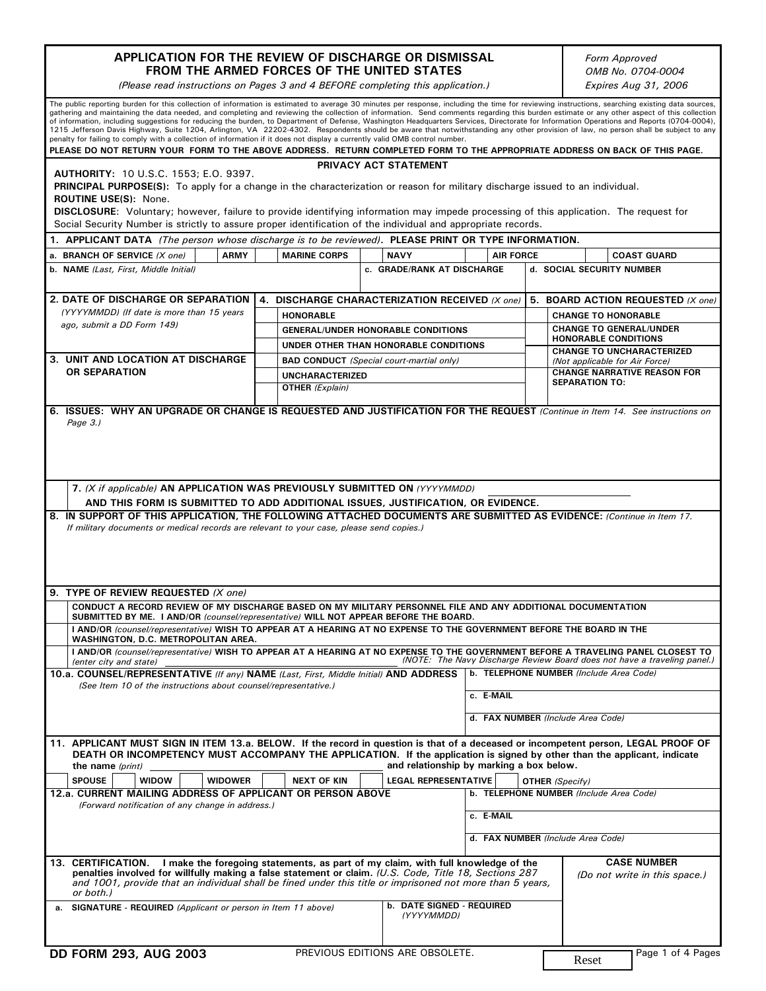| APPLICATION FOR THE REVIEW OF DISCHARGE OR DISMISSAL<br>FROM THE ARMED FORCES OF THE UNITED STATES                                                                                                                                                                                                                                                                                                                                                                                                                                                                                                                                                                                                                                                                                                                                                                                                                                                                                                                                              |                                                 |                                                                                    |                  |                                                                 | Form Approved<br>OMB No. 0704-0004                                       |  |
|-------------------------------------------------------------------------------------------------------------------------------------------------------------------------------------------------------------------------------------------------------------------------------------------------------------------------------------------------------------------------------------------------------------------------------------------------------------------------------------------------------------------------------------------------------------------------------------------------------------------------------------------------------------------------------------------------------------------------------------------------------------------------------------------------------------------------------------------------------------------------------------------------------------------------------------------------------------------------------------------------------------------------------------------------|-------------------------------------------------|------------------------------------------------------------------------------------|------------------|-----------------------------------------------------------------|--------------------------------------------------------------------------|--|
| (Please read instructions on Pages 3 and 4 BEFORE completing this application.)                                                                                                                                                                                                                                                                                                                                                                                                                                                                                                                                                                                                                                                                                                                                                                                                                                                                                                                                                                 |                                                 |                                                                                    |                  |                                                                 | Expires Aug 31, 2006                                                     |  |
| The public reporting burden for this collection of information is estimated to average 30 minutes per response, including the time for reviewing instructions, searching existing data sources,<br>gathering and maintaining the data needed, and completing and reviewing the collection of information. Send comments regarding this burden estimate or any other aspect of this collection<br>of information, including suggestions for reducing the burden, to Department of Defense, Washington Headquarters Services, Directorate for Information Operations and Reports (0704-0004),<br>1215 Jefferson Davis Highway, Suite 1204, Arlington, VA 22202-4302. Respondents should be aware that notwithstanding any other provision of law, no person shall be subject to any<br>penalty for failing to comply with a collection of information if it does not display a currently valid OMB control number.<br>PLEASE DO NOT RETURN YOUR FORM TO THE ABOVE ADDRESS. RETURN COMPLETED FORM TO THE APPROPRIATE ADDRESS ON BACK OF THIS PAGE. |                                                 |                                                                                    |                  |                                                                 |                                                                          |  |
|                                                                                                                                                                                                                                                                                                                                                                                                                                                                                                                                                                                                                                                                                                                                                                                                                                                                                                                                                                                                                                                 |                                                 | PRIVACY ACT STATEMENT                                                              |                  |                                                                 |                                                                          |  |
| <b>AUTHORITY: 10 U.S.C. 1553; E.O. 9397.</b><br><b>PRINCIPAL PURPOSE(S):</b> To apply for a change in the characterization or reason for military discharge issued to an individual.<br><b>ROUTINE USE(S): None.</b><br>DISCLOSURE: Voluntary; however, failure to provide identifying information may impede processing of this application. The request for<br>Social Security Number is strictly to assure proper identification of the individual and appropriate records.                                                                                                                                                                                                                                                                                                                                                                                                                                                                                                                                                                  |                                                 |                                                                                    |                  |                                                                 |                                                                          |  |
| 1. APPLICANT DATA (The person whose discharge is to be reviewed). PLEASE PRINT OR TYPE INFORMATION.                                                                                                                                                                                                                                                                                                                                                                                                                                                                                                                                                                                                                                                                                                                                                                                                                                                                                                                                             |                                                 |                                                                                    |                  |                                                                 |                                                                          |  |
| <b>ARMY</b><br>a. BRANCH OF SERVICE (X one)                                                                                                                                                                                                                                                                                                                                                                                                                                                                                                                                                                                                                                                                                                                                                                                                                                                                                                                                                                                                     | <b>MARINE CORPS</b>                             | <b>NAVY</b>                                                                        | <b>AIR FORCE</b> |                                                                 | <b>COAST GUARD</b>                                                       |  |
| b. NAME (Last, First, Middle Initial)                                                                                                                                                                                                                                                                                                                                                                                                                                                                                                                                                                                                                                                                                                                                                                                                                                                                                                                                                                                                           |                                                 | c. GRADE/RANK AT DISCHARGE                                                         |                  |                                                                 | d. SOCIAL SECURITY NUMBER                                                |  |
|                                                                                                                                                                                                                                                                                                                                                                                                                                                                                                                                                                                                                                                                                                                                                                                                                                                                                                                                                                                                                                                 |                                                 |                                                                                    |                  |                                                                 |                                                                          |  |
| <b>2. DATE OF DISCHARGE OR SEPARATION</b><br>(YYYYMMDD) (If date is more than 15 years                                                                                                                                                                                                                                                                                                                                                                                                                                                                                                                                                                                                                                                                                                                                                                                                                                                                                                                                                          | 4. DISCHARGE CHARACTERIZATION RECEIVED (X one)  |                                                                                    |                  | 5. BOARD ACTION REQUESTED (X one)<br><b>CHANGE TO HONORABLE</b> |                                                                          |  |
| ago, submit a DD Form 149)                                                                                                                                                                                                                                                                                                                                                                                                                                                                                                                                                                                                                                                                                                                                                                                                                                                                                                                                                                                                                      | <b>HONORABLE</b>                                |                                                                                    |                  |                                                                 | <b>CHANGE TO GENERAL/UNDER</b>                                           |  |
|                                                                                                                                                                                                                                                                                                                                                                                                                                                                                                                                                                                                                                                                                                                                                                                                                                                                                                                                                                                                                                                 |                                                 | <b>GENERAL/UNDER HONORABLE CONDITIONS</b><br>UNDER OTHER THAN HONORABLE CONDITIONS |                  |                                                                 | <b>HONORABLE CONDITIONS</b>                                              |  |
| 3. UNIT AND LOCATION AT DISCHARGE<br>OR SEPARATION                                                                                                                                                                                                                                                                                                                                                                                                                                                                                                                                                                                                                                                                                                                                                                                                                                                                                                                                                                                              | <b>BAD CONDUCT</b> (Special court-martial only) |                                                                                    |                  |                                                                 | <b>CHANGE TO UNCHARACTERIZED</b><br>(Not applicable for Air Force)       |  |
|                                                                                                                                                                                                                                                                                                                                                                                                                                                                                                                                                                                                                                                                                                                                                                                                                                                                                                                                                                                                                                                 | <b>UNCHARACTERIZED</b>                          |                                                                                    |                  |                                                                 | <b>CHANGE NARRATIVE REASON FOR</b>                                       |  |
|                                                                                                                                                                                                                                                                                                                                                                                                                                                                                                                                                                                                                                                                                                                                                                                                                                                                                                                                                                                                                                                 | OTHER (Explain)                                 |                                                                                    |                  |                                                                 | <b>SEPARATION TO:</b>                                                    |  |
| AND THIS FORM IS SUBMITTED TO ADD ADDITIONAL ISSUES, JUSTIFICATION, OR EVIDENCE.<br>8. IN SUPPORT OF THIS APPLICATION, THE FOLLOWING ATTACHED DOCUMENTS ARE SUBMITTED AS EVIDENCE: (Continue in Item 17.<br>If military documents or medical records are relevant to your case, please send copies.)<br>9. TYPE OF REVIEW REQUESTED (X one)                                                                                                                                                                                                                                                                                                                                                                                                                                                                                                                                                                                                                                                                                                     |                                                 |                                                                                    |                  |                                                                 |                                                                          |  |
| CONDUCT A RECORD REVIEW OF MY DISCHARGE BASED ON MY MILITARY PERSONNEL FILE AND ANY ADDITIONAL DOCUMENTATION<br>SUBMITTED BY ME. I AND/OR (counsel/representative) WILL NOT APPEAR BEFORE THE BOARD.                                                                                                                                                                                                                                                                                                                                                                                                                                                                                                                                                                                                                                                                                                                                                                                                                                            |                                                 |                                                                                    |                  |                                                                 |                                                                          |  |
| I AND/OR (counsel/representative) WISH TO APPEAR AT A HEARING AT NO EXPENSE TO THE GOVERNMENT BEFORE THE BOARD IN THE<br>WASHINGTON, D.C. METROPOLITAN AREA.                                                                                                                                                                                                                                                                                                                                                                                                                                                                                                                                                                                                                                                                                                                                                                                                                                                                                    |                                                 |                                                                                    |                  |                                                                 |                                                                          |  |
| I AND/OR (counsel/representative) WISH TO APPEAR AT A HEARING AT NO EXPENSE TO THE GOVERNMENT BEFORE A TRAVELING PANEL CLOSEST TO<br>(enter city and state)                                                                                                                                                                                                                                                                                                                                                                                                                                                                                                                                                                                                                                                                                                                                                                                                                                                                                     |                                                 |                                                                                    |                  |                                                                 | (NOTE: The Navy Discharge Review Board does not have a traveling panel.) |  |
| 10.a. COUNSEL/REPRESENTATIVE (If any) NAME (Last, First, Middle Initial) AND ADDRESS<br>(See Item 10 of the instructions about counsel/representative.)<br>c. E-MAIL                                                                                                                                                                                                                                                                                                                                                                                                                                                                                                                                                                                                                                                                                                                                                                                                                                                                            |                                                 |                                                                                    |                  | b. TELEPHONE NUMBER (Include Area Code)                         |                                                                          |  |
|                                                                                                                                                                                                                                                                                                                                                                                                                                                                                                                                                                                                                                                                                                                                                                                                                                                                                                                                                                                                                                                 |                                                 |                                                                                    |                  |                                                                 |                                                                          |  |
|                                                                                                                                                                                                                                                                                                                                                                                                                                                                                                                                                                                                                                                                                                                                                                                                                                                                                                                                                                                                                                                 |                                                 |                                                                                    |                  |                                                                 |                                                                          |  |
|                                                                                                                                                                                                                                                                                                                                                                                                                                                                                                                                                                                                                                                                                                                                                                                                                                                                                                                                                                                                                                                 |                                                 |                                                                                    |                  |                                                                 | d. FAX NUMBER (Include Area Code)                                        |  |
| 11. APPLICANT MUST SIGN IN ITEM 13.a. BELOW. If the record in question is that of a deceased or incompetent person, LEGAL PROOF OF<br>DEATH OR INCOMPETENCY MUST ACCOMPANY THE APPLICATION. If the application is signed by other than the applicant, indicate<br>the name (print)                                                                                                                                                                                                                                                                                                                                                                                                                                                                                                                                                                                                                                                                                                                                                              |                                                 | and relationship by marking a box below.                                           |                  |                                                                 |                                                                          |  |
| <b>SPOUSE</b><br><b>WIDOW</b><br><b>WIDOWER</b>                                                                                                                                                                                                                                                                                                                                                                                                                                                                                                                                                                                                                                                                                                                                                                                                                                                                                                                                                                                                 | <b>NEXT OF KIN</b>                              | <b>LEGAL REPRESENTATIVE</b>                                                        |                  | OTHER (Specify)                                                 |                                                                          |  |
| 12.a. CURRENT MAILING ADDRESS OF APPLICANT OR PERSON ABOVE<br>(Forward notification of any change in address.)                                                                                                                                                                                                                                                                                                                                                                                                                                                                                                                                                                                                                                                                                                                                                                                                                                                                                                                                  |                                                 |                                                                                    | c. E-MAIL        |                                                                 | b. TELEPHONE NUMBER (Include Area Code)                                  |  |
|                                                                                                                                                                                                                                                                                                                                                                                                                                                                                                                                                                                                                                                                                                                                                                                                                                                                                                                                                                                                                                                 |                                                 |                                                                                    |                  |                                                                 |                                                                          |  |
|                                                                                                                                                                                                                                                                                                                                                                                                                                                                                                                                                                                                                                                                                                                                                                                                                                                                                                                                                                                                                                                 |                                                 |                                                                                    |                  |                                                                 | d. FAX NUMBER (Include Area Code)                                        |  |
| 13. CERTIFICATION. I make the foregoing statements, as part of my claim, with full knowledge of the<br>penalties involved for willfully making a false statement or claim. (U.S. Code, Title 18, Sections 287<br>and 1001, provide that an individual shall be fined under this title or imprisoned not more than 5 years,<br>or both.)                                                                                                                                                                                                                                                                                                                                                                                                                                                                                                                                                                                                                                                                                                         |                                                 |                                                                                    |                  |                                                                 | <b>CASE NUMBER</b><br>(Do not write in this space.)                      |  |
| a. SIGNATURE - REQUIRED (Applicant or person in Item 11 above)                                                                                                                                                                                                                                                                                                                                                                                                                                                                                                                                                                                                                                                                                                                                                                                                                                                                                                                                                                                  |                                                 | <b>b. DATE SIGNED - REQUIRED</b><br>(YYYYMMDD)                                     |                  |                                                                 |                                                                          |  |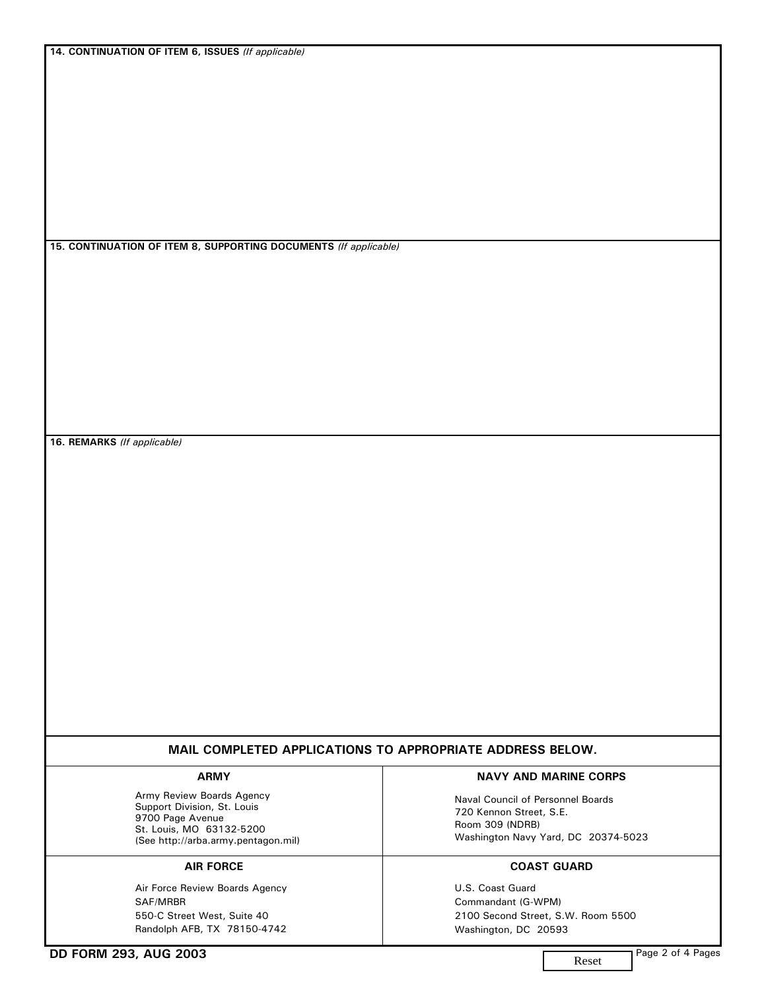**14. CONTINUATION OF ITEM 6, ISSUES** *(If applicable)*

**15. CONTINUATION OF ITEM 8, SUPPORTING DOCUMENTS** *(If applicable)*

**16. REMARKS** *(If applicable)*

# **MAIL COMPLETED APPLICATIONS TO APPROPRIATE ADDRESS BELOW.**

Army Review Boards Agency Support Division, St. Louis 9700 Page Avenue St. Louis, MO 63132-5200 (See http://arba.army.pentagon.mil)

Air Force Review Boards Agency SAF/MRBR 550-C Street West, Suite 40 Randolph AFB, TX 78150-4742

#### **ARMY NAVY AND MARINE CORPS**

Naval Council of Personnel Boards 720 Kennon Street, S.E. Room 309 (NDRB) Washington Navy Yard, DC 20374-5023

## **AIR FORCE COAST GUARD**

U.S. Coast Guard Commandant (G-WPM) 2100 Second Street, S.W. Room 5500 Washington, DC 20593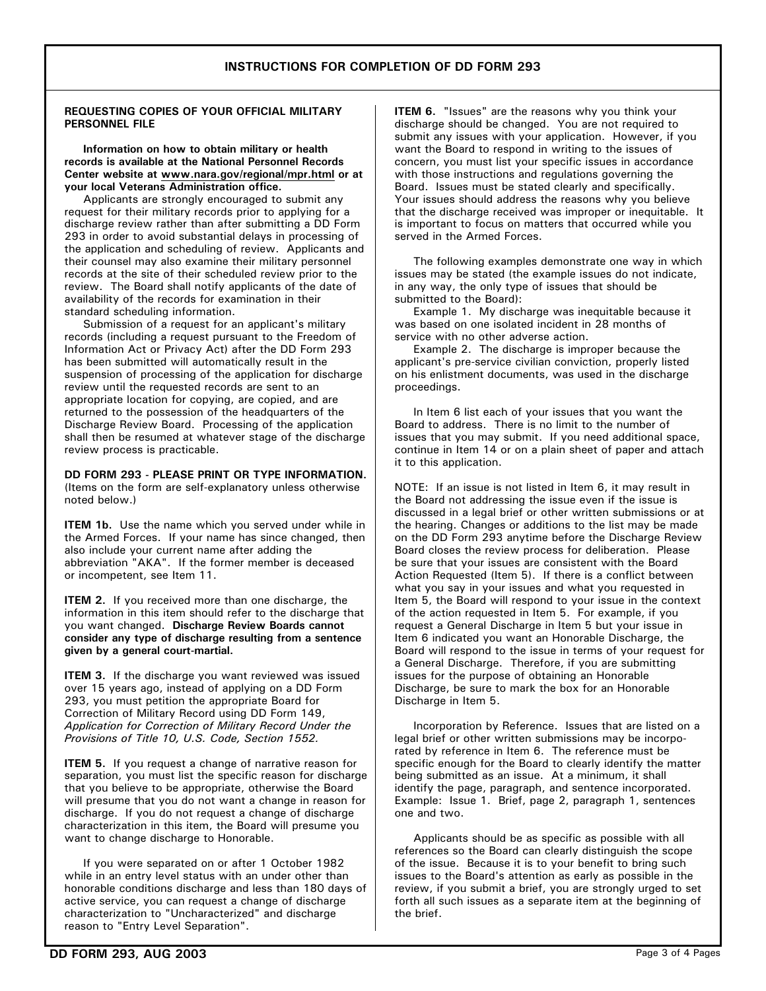### **REQUESTING COPIES OF YOUR OFFICIAL MILITARY PERSONNEL FILE**

 **Information on how to obtain military or health records is available at the National Personnel Records Center website at www.nara.gov/regional/mpr.html or at your local Veterans Administration office.**

 Applicants are strongly encouraged to submit any request for their military records prior to applying for a discharge review rather than after submitting a DD Form 293 in order to avoid substantial delays in processing of the application and scheduling of review. Applicants and their counsel may also examine their military personnel records at the site of their scheduled review prior to the review. The Board shall notify applicants of the date of availability of the records for examination in their standard scheduling information.

 Submission of a request for an applicant's military records (including a request pursuant to the Freedom of Information Act or Privacy Act) after the DD Form 293 has been submitted will automatically result in the suspension of processing of the application for discharge review until the requested records are sent to an appropriate location for copying, are copied, and are returned to the possession of the headquarters of the Discharge Review Board. Processing of the application shall then be resumed at whatever stage of the discharge review process is practicable.

**DD FORM 293 - PLEASE PRINT OR TYPE INFORMATION.** (Items on the form are self-explanatory unless otherwise noted below.)

**ITEM 1b.** Use the name which you served under while in the Armed Forces. If your name has since changed, then also include your current name after adding the abbreviation "AKA". If the former member is deceased or incompetent, see Item 11.

**ITEM 2.** If you received more than one discharge, the information in this item should refer to the discharge that you want changed. **Discharge Review Boards cannot consider any type of discharge resulting from a sentence given by a general court-martial.**

**ITEM 3.** If the discharge you want reviewed was issued over 15 years ago, instead of applying on a DD Form 293, you must petition the appropriate Board for Correction of Military Record using DD Form 149, *Application for Correction of Military Record Under the Provisions of Title 10, U.S. Code, Section 1552.*

**ITEM 5.** If you request a change of narrative reason for separation, you must list the specific reason for discharge that you believe to be appropriate, otherwise the Board will presume that you do not want a change in reason for discharge. If you do not request a change of discharge characterization in this item, the Board will presume you want to change discharge to Honorable.

 If you were separated on or after 1 October 1982 while in an entry level status with an under other than honorable conditions discharge and less than 180 days of active service, you can request a change of discharge characterization to "Uncharacterized" and discharge reason to "Entry Level Separation".

**ITEM 6.** "Issues" are the reasons why you think your discharge should be changed. You are not required to submit any issues with your application. However, if you want the Board to respond in writing to the issues of concern, you must list your specific issues in accordance with those instructions and regulations governing the Board. Issues must be stated clearly and specifically. Your issues should address the reasons why you believe that the discharge received was improper or inequitable. It is important to focus on matters that occurred while you served in the Armed Forces.

 The following examples demonstrate one way in which issues may be stated (the example issues do not indicate, in any way, the only type of issues that should be submitted to the Board):

 Example 1. My discharge was inequitable because it was based on one isolated incident in 28 months of service with no other adverse action.

 Example 2. The discharge is improper because the applicant's pre-service civilian conviction, properly listed on his enlistment documents, was used in the discharge proceedings.

 In Item 6 list each of your issues that you want the Board to address. There is no limit to the number of issues that you may submit. If you need additional space, continue in Item 14 or on a plain sheet of paper and attach it to this application.

NOTE: If an issue is not listed in Item 6, it may result in the Board not addressing the issue even if the issue is discussed in a legal brief or other written submissions or at the hearing. Changes or additions to the list may be made on the DD Form 293 anytime before the Discharge Review Board closes the review process for deliberation. Please be sure that your issues are consistent with the Board Action Requested (Item 5). If there is a conflict between what you say in your issues and what you requested in Item 5, the Board will respond to your issue in the context of the action requested in Item 5. For example, if you request a General Discharge in Item 5 but your issue in Item 6 indicated you want an Honorable Discharge, the Board will respond to the issue in terms of your request for a General Discharge. Therefore, if you are submitting issues for the purpose of obtaining an Honorable Discharge, be sure to mark the box for an Honorable Discharge in Item 5.

 Incorporation by Reference. Issues that are listed on a legal brief or other written submissions may be incorporated by reference in Item 6. The reference must be specific enough for the Board to clearly identify the matter being submitted as an issue. At a minimum, it shall identify the page, paragraph, and sentence incorporated. Example: Issue 1. Brief, page 2, paragraph 1, sentences one and two.

 Applicants should be as specific as possible with all references so the Board can clearly distinguish the scope of the issue. Because it is to your benefit to bring such issues to the Board's attention as early as possible in the review, if you submit a brief, you are strongly urged to set forth all such issues as a separate item at the beginning of the brief.